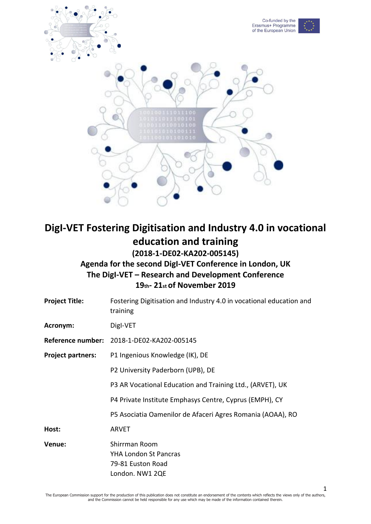

# **DigI-VET Fostering Digitisation and Industry 4.0 in vocational education and training (2018-1-DE02-KA202-005145)**

**Agenda for the second DigI-VET Conference in London, UK The DigI-VET – Research and Development Conference 19th- 21st of November 2019**

| Fostering Digitisation and Industry 4.0 in vocational education and<br>training       |
|---------------------------------------------------------------------------------------|
| Digl-VET                                                                              |
| Reference number: 2018-1-DE02-KA202-005145                                            |
| P1 Ingenious Knowledge (IK), DE                                                       |
| P2 University Paderborn (UPB), DE                                                     |
| P3 AR Vocational Education and Training Ltd., (ARVET), UK                             |
| P4 Private Institute Emphasys Centre, Cyprus (EMPH), CY                               |
| P5 Asociatia Oamenilor de Afaceri Agres Romania (AOAA), RO                            |
| <b>ARVET</b>                                                                          |
| Shirrman Room<br><b>YHA London St Pancras</b><br>79-81 Euston Road<br>London. NW1 2QE |
|                                                                                       |

1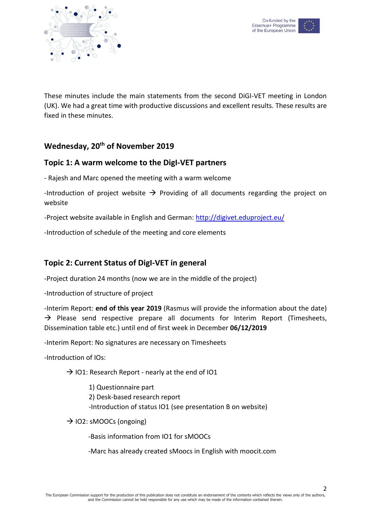



These minutes include the main statements from the second DiGI-VET meeting in London (UK). We had a great time with productive discussions and excellent results. These results are fixed in these minutes.

## **Wednesday, 20th of November 2019**

## **Topic 1: A warm welcome to the DigI-VET partners**

- Rajesh and Marc opened the meeting with a warm welcome

-Introduction of project website  $\rightarrow$  Providing of all documents regarding the project on website

-Project website available in English and German:<http://digivet.eduproject.eu/>

-Introduction of schedule of the meeting and core elements

## **Topic 2: Current Status of DigI-VET in general**

-Project duration 24 months (now we are in the middle of the project)

-Introduction of structure of project

-Interim Report: **end of this year 2019** (Rasmus will provide the information about the date)  $\rightarrow$  Please send respective prepare all documents for Interim Report (Timesheets, Dissemination table etc.) until end of first week in December **06/12/2019**

-Interim Report: No signatures are necessary on Timesheets

-Introduction of IOs:

 $\rightarrow$  IO1: Research Report - nearly at the end of IO1

1) Questionnaire part 2) Desk-based research report -Introduction of status IO1 (see presentation B on website)

 $\rightarrow$  IO2: sMOOCs (ongoing)

-Basis information from IO1 for sMOOCs

-Marc has already created sMoocs in English with moocit.com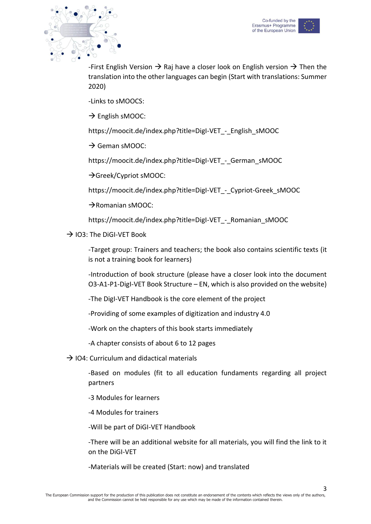



-First English Version  $\rightarrow$  Raj have a closer look on English version  $\rightarrow$  Then the translation into the other languages can begin (Start with translations: Summer 2020)

-Links to sMOOCS:

 $\rightarrow$  English sMOOC:

https://moocit.de/index.php?title=DigI-VET - English\_sMOOC

 $\rightarrow$  Geman sMOOC:

https://moocit.de/index.php?title=DigI-VET\_-\_German\_sMOOC

→ Greek/Cypriot sMOOC:

https://moocit.de/index.php?title=DigI-VET - Cypriot-Greek sMOOC

 $\rightarrow$ Romanian sMOOC:

https://moocit.de/index.php?title=DigI-VET - Romanian\_sMOOC

 $\rightarrow$  IO3: The DiGI-VET Book

-Target group: Trainers and teachers; the book also contains scientific texts (it is not a training book for learners)

-Introduction of book structure (please have a closer look into the document O3-A1-P1-DigI-VET Book Structure – EN, which is also provided on the website)

-The DigI-VET Handbook is the core element of the project

-Providing of some examples of digitization and industry 4.0

-Work on the chapters of this book starts immediately

-A chapter consists of about 6 to 12 pages

 $\rightarrow$  IO4: Curriculum and didactical materials

-Based on modules (fit to all education fundaments regarding all project partners

-3 Modules for learners

-4 Modules for trainers

-Will be part of DiGI-VET Handbook

-There will be an additional website for all materials, you will find the link to it on the DiGI-VET

-Materials will be created (Start: now) and translated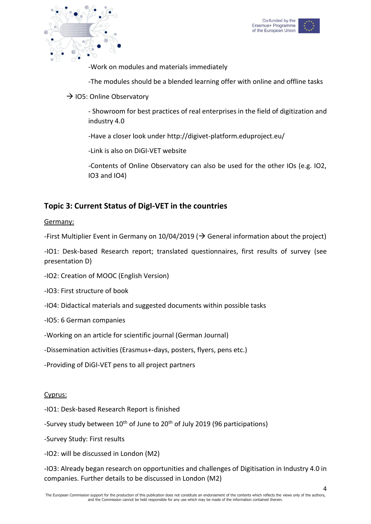



-Work on modules and materials immediately

-The modules should be a blended learning offer with online and offline tasks

 $\rightarrow$  IO5: Online Observatory

- Showroom for best practices of real enterprises in the field of digitization and industry 4.0

-Have a closer look under http://digivet-platform.eduproject.eu/

-Link is also on DiGI-VET website

-Contents of Online Observatory can also be used for the other IOs (e.g. IO2, IO3 and IO4)

## **Topic 3: Current Status of DigI-VET in the countries**

### Germany:

-First Multiplier Event in Germany on 10/04/2019 ( $\rightarrow$  General information about the project)

-IO1: Desk-based Research report; translated questionnaires, first results of survey (see presentation D)

-IO2: Creation of MOOC (English Version)

-IO3: First structure of book

- -IO4: Didactical materials and suggested documents within possible tasks
- -IO5: 6 German companies
- -Working on an article for scientific journal (German Journal)
- -Dissemination activities (Erasmus+-days, posters, flyers, pens etc.)
- -Providing of DiGI-VET pens to all project partners

### Cyprus:

- -IO1: Desk-based Research Report is finished
- -Survey study between 10<sup>th</sup> of June to 20<sup>th</sup> of July 2019 (96 participations)
- -Survey Study: First results
- -IO2: will be discussed in London (M2)

-IO3: Already began research on opportunities and challenges of Digitisation in Industry 4.0 in companies. Further details to be discussed in London (M2)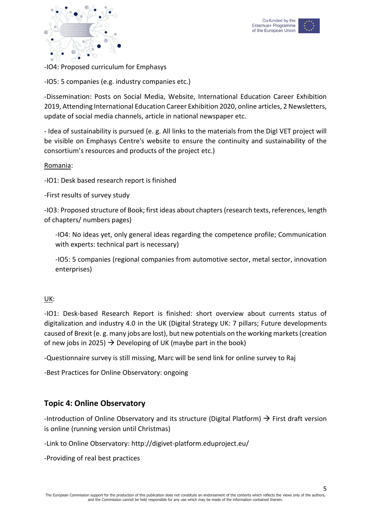



-IO4: Proposed curriculum for Emphasys

-IO5: 5 companies (e.g. industry companies etc.)

-Dissemination: Posts on Social Media, Website, International Education Career Exhibition 2019, Attending International Education Career Exhibition 2020, online articles, 2 Newsletters, update of social media channels, article in national newspaper etc.

- Idea of sustainability is pursued (e. g. All links to the materials from the DigI VET project will be visible on Emphasys Centre's website to ensure the continuity and sustainability of the consortium's resources and products of the project etc.)

### Romania:

-IO1: Desk based research report is finished

-First results of survey study

-IO3: Proposed structure of Book; first ideas about chapters (research texts, references, length of chapters/ numbers pages)

-IO4: No ideas yet, only general ideas regarding the competence profile; Communication with experts: technical part is necessary)

-IO5: 5 companies (regional companies from automotive sector, metal sector, innovation enterprises)

### UK:

-IO1: Desk-based Research Report is finished: short overview about currents status of digitalization and industry 4.0 in the UK (Digital Strategy UK: 7 pillars; Future developments caused of Brexit (e. g. many jobs are lost), but new potentials on the working markets (creation of new jobs in 2025)  $\rightarrow$  Developing of UK (maybe part in the book)

-Questionnaire survey is still missing, Marc will be send link for online survey to Raj

-Best Practices for Online Observatory: ongoing

## **Topic 4: Online Observatory**

-Introduction of Online Observatory and its structure (Digital Platform)  $\rightarrow$  First draft version is online (running version until Christmas)

-Link to Online Observatory: http://digivet-platform.eduproject.eu/

-Providing of real best practices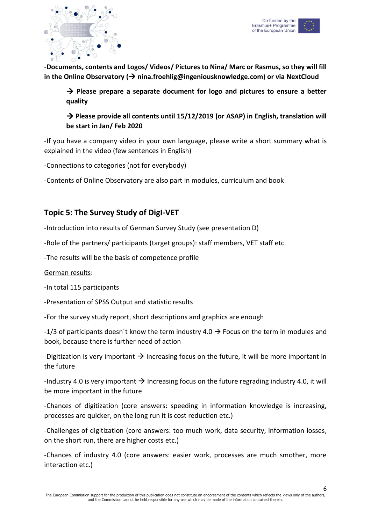



-**Documents, contents and Logos/ Videos/ Pictures to Nina/ Marc or Rasmus, so they will fill in the Online Observatory ( nina.froehlig@ingeniousknowledge.com) or via NextCloud**

→ Please prepare a separate document for logo and pictures to ensure a better **quality**

→ Please provide all contents until 15/12/2019 (or ASAP) in English, translation will **be start in Jan/ Feb 2020**

-If you have a company video in your own language, please write a short summary what is explained in the video (few sentences in English)

-Connections to categories (not for everybody)

-Contents of Online Observatory are also part in modules, curriculum and book

## **Topic 5: The Survey Study of DigI-VET**

-Introduction into results of German Survey Study (see presentation D)

-Role of the partners/ participants (target groups): staff members, VET staff etc.

-The results will be the basis of competence profile

### German results:

-In total 115 participants

-Presentation of SPSS Output and statistic results

-For the survey study report, short descriptions and graphics are enough

-1/3 of participants doesn't know the term industry 4.0  $\rightarrow$  Focus on the term in modules and book, because there is further need of action

-Digitization is very important  $\rightarrow$  Increasing focus on the future, it will be more important in the future

-Industry 4.0 is very important  $\rightarrow$  Increasing focus on the future regrading industry 4.0, it will be more important in the future

-Chances of digitization (core answers: speeding in information knowledge is increasing, processes are quicker, on the long run it is cost reduction etc.)

-Challenges of digitization (core answers: too much work, data security, information losses, on the short run, there are higher costs etc.)

-Chances of industry 4.0 (core answers: easier work, processes are much smother, more interaction etc.)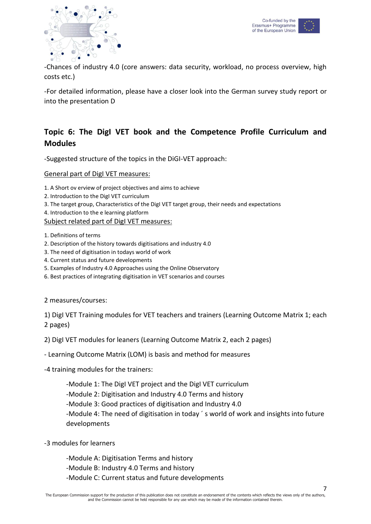



-Chances of industry 4.0 (core answers: data security, workload, no process overview, high costs etc.)

-For detailed information, please have a closer look into the German survey study report or into the presentation D

## **Topic 6: The DigI VET book and the Competence Profile Curriculum and Modules**

-Suggested structure of the topics in the DiGI-VET approach:

General part of DigI VET measures:

- 1. A Short ov erview of project objectives and aims to achieve
- 2. Introduction to the DigI VET curriculum
- 3. The target group, Characteristics of the DigI VET target group, their needs and expectations
- 4. Introduction to the e learning platform

Subject related part of DigI VET measures:

- 1. Definitions of terms
- 2. Description of the history towards digitisations and industry 4.0
- 3. The need of digitisation in todays world of work
- 4. Current status and future developments
- 5. Examples of Industry 4.0 Approaches using the Online Observatory
- 6. Best practices of integrating digitisation in VET scenarios and courses

2 measures/courses:

1) DigI VET Training modules for VET teachers and trainers (Learning Outcome Matrix 1; each 2 pages)

2) DigI VET modules for leaners (Learning Outcome Matrix 2, each 2 pages)

- Learning Outcome Matrix (LOM) is basis and method for measures

-4 training modules for the trainers:

-Module 1: The DigI VET project and the DigI VET curriculum

-Module 2: Digitisation and Industry 4.0 Terms and history

-Module 3: Good practices of digitisation and Industry 4.0

-Module 4: The need of digitisation in today ´ s world of work and insights into future developments

- -3 modules for learners
	- -Module A: Digitisation Terms and history

-Module B: Industry 4.0 Terms and history

-Module C: Current status and future developments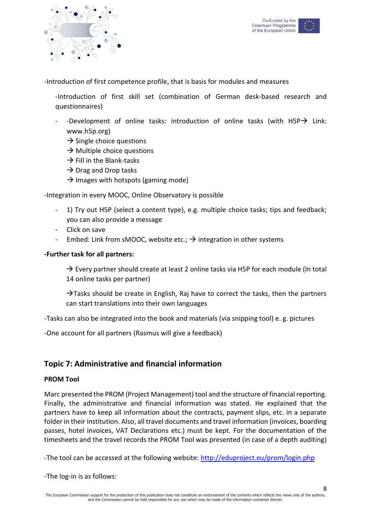



-Introduction of first competence profile, that is basis for modules and measures

-Introduction of first skill set (combination of German desk-based research and questionnaires)

- -Development of online tasks: introduction of online tasks (with  $H5P \rightarrow$  Link: www.h5p.org)
	- $\rightarrow$  Single choice questions
	- $\rightarrow$  Multiple choice questions
	- $\rightarrow$  Fill in the Blank-tasks
	- $\rightarrow$  Drag and Drop tasks
	- $\rightarrow$  Images with hotspots (gaming mode)

-Integration in every MOOC, Online Observatory is possible

- 1) Try out H5P (select a content type), e.g. multiple choice tasks; tips and feedback; you can also provide a message
- Click on save
- Embed: Link from sMOOC, website etc.;  $\rightarrow$  integration in other systems

### **-Further task for all partners:**

 $\rightarrow$  Every partner should create at least 2 online tasks via H5P for each module (In total 14 online tasks per partner)

 $\rightarrow$  Tasks should be create in English, Raj have to correct the tasks, then the partners can start translations into their own languages

-Tasks can also be integrated into the book and materials (via snipping tool) e. g. pictures

-One account for all partners (Rasmus will give a feedback)

### **Topic 7: Administrative and financial information**

#### **PROM Tool**

Marc presented the PROM (Project Management) tool and the structure of financial reporting. Finally, the administrative and financial information was stated. He explained that the partners have to keep all information about the contracts, payment slips, etc. in a separate folder in their institution. Also, all travel documents and travel information (invoices, boarding passes, hotel invoices, VAT Declarations etc.) must be kept. For the documentation of the timesheets and the travel records the PROM Tool was presented (in case of a depth auditing)

-The tool can be accessed at the following website:<http://eduproject.eu/prom/login.php>

-The log-in is as follows: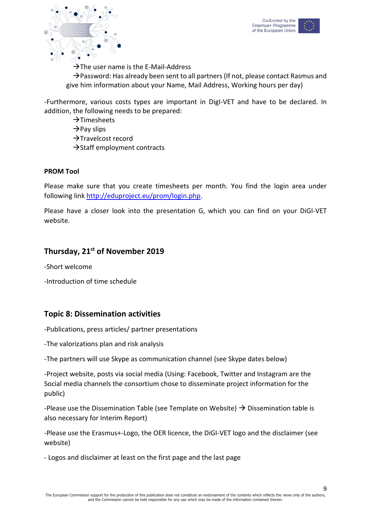



 $\rightarrow$ The user name is the E-Mail-Address

 $\rightarrow$  Password: Has already been sent to all partners (If not, please contact Rasmus and give him information about your Name, Mail Address, Working hours per day)

-Furthermore, various costs types are important in DigI-VET and have to be declared. In addition, the following needs to be prepared:

 $\rightarrow$ Timesheets

 $\rightarrow$ Pay slips

 $\rightarrow$ Travelcost record

 $\rightarrow$ Staff employment contracts

### **PROM Tool**

Please make sure that you create timesheets per month. You find the login area under following lin[k http://eduproject.eu/prom/login.php.](http://eduproject.eu/prom/login.php)

Please have a closer look into the presentation G, which you can find on your DiGI-VET website.

## **Thursday, 21st of November 2019**

-Short welcome

-Introduction of time schedule

## **Topic 8: Dissemination activities**

-Publications, press articles/ partner presentations

-The valorizations plan and risk analysis

-The partners will use Skype as communication channel (see Skype dates below)

-Project website, posts via social media (Using: Facebook, Twitter and Instagram are the Social media channels the consortium chose to disseminate project information for the public)

-Please use the Dissemination Table (see Template on Website)  $\rightarrow$  Dissemination table is also necessary for Interim Report)

-Please use the Erasmus+-Logo, the OER licence, the DiGI-VET logo and the disclaimer (see website)

- Logos and disclaimer at least on the first page and the last page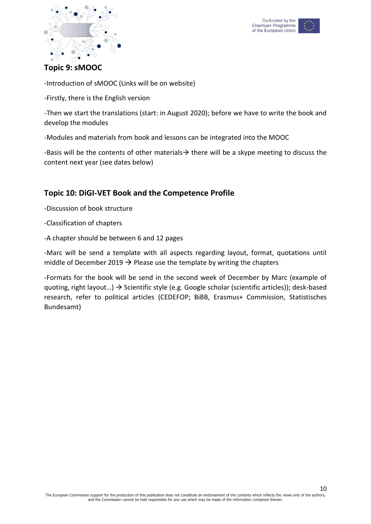



## **Topic 9: sMOOC**

-Introduction of sMOOC (Links will be on website)

-Firstly, there is the English version

-Then we start the translations (start: in August 2020); before we have to write the book and develop the modules

-Modules and materials from book and lessons can be integrated into the MOOC

-Basis will be the contents of other materials  $\rightarrow$  there will be a skype meeting to discuss the content next year (see dates below)

## **Topic 10: DiGI-VET Book and the Competence Profile**

-Discussion of book structure

-Classification of chapters

-A chapter should be between 6 and 12 pages

-Marc will be send a template with all aspects regarding layout, format, quotations until middle of December 2019  $\rightarrow$  Please use the template by writing the chapters

-Formats for the book will be send in the second week of December by Marc (example of quoting, right layout...)  $\rightarrow$  Scientific style (e.g. Google scholar (scientific articles)); desk-based research, refer to political articles (CEDEFOP; BiBB, Erasmus+ Commission, Statistisches Bundesamt)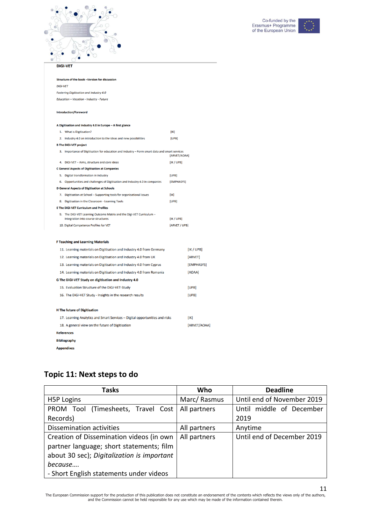



| <b>DiGI-VET</b>                                                                                             |               |              |
|-------------------------------------------------------------------------------------------------------------|---------------|--------------|
| Structure of the book -Version for discussion                                                               |               |              |
| <b>DiGI-VET</b>                                                                                             |               |              |
| <b>Fostering Digitisation and Industry 4.0</b>                                                              |               |              |
| Education - Vocation - Industry - Future                                                                    |               |              |
| <b>Introduction/Foreword</b>                                                                                |               |              |
| A Digitisation and Industry 4.0 in Europe - A first glance                                                  |               |              |
| 1. What is Digitisation?                                                                                    | [IK]          |              |
| 2. Industry 4.0 an introduction to the ideas and new possibilities                                          | [UPB]         |              |
| <b>B The DiGI-VET project</b>                                                                               |               |              |
| 3. Importance of Digitisation for education and Industry - Form smart data and smart services               | [ARVET/AOAA]  |              |
| 4. DiGI-VET - Aims, structure and core ideas                                                                | [IK / UPB]    |              |
| <b>C General Aspects of Digitisation at Companies</b>                                                       |               |              |
| 5. Digital transformation in industry                                                                       | [UPB]         |              |
| 6. Opportunities and challenges of Digitisation and Industry 4.0 in companies                               | [EMPHASYS]    |              |
| <b>D General Aspects of Digitisation at Schools</b>                                                         |               |              |
| 7. Digitisation at School - Supporting tools for organisational issues                                      | [IK]          |              |
| 8. Digitisation in the Classroom - Learning Tools                                                           | [UPB]         |              |
| <b>E The DiGI-VET Curriculum and Profiles</b>                                                               |               |              |
| 9. The DiGI-VET Learning Outcome Matrix and the DigI-VET Curriculum -<br>Integration into course structures | [IK / UPB]    |              |
| 10. Digital Competence Profiles for VET                                                                     | [ARVET / UPB] |              |
|                                                                                                             |               |              |
| <b>F Teaching and Learning Materials</b>                                                                    |               |              |
| 11. Learning materials on Digitisation and Industry 4.0 from Germany                                        |               | [IK / UPB]   |
| 12. Learning materials on Digitisation and Industry 4.0 from UK                                             |               | [ARVET]      |
| 13. Learning materials on Digitisation and Industry 4.0 from Cyprus                                         |               | [EMPHASYS]   |
| 14. Learning materials on Digitisation and Industry 4.0 from Romania                                        |               | [AOAA]       |
| G The DiGI-VET Study on digitisation and Industry 4.0                                                       |               |              |
| 15. Evaluation Structure of the DiGI-VET-Study                                                              |               | [UPB]        |
| 16. The DiGI-VET Study - Insights in the research results                                                   |               | [UPB]        |
| <b>H</b> The future of Digitisation                                                                         |               |              |
|                                                                                                             |               |              |
| 17. Learning Analytics and Smart Services - Digital opportunities and risks                                 |               | [IK]         |
| 18. A general view on the future of Digitisation                                                            |               | [ARVET/AOAA] |
| <b>References</b>                                                                                           |               |              |
| <b>Bibliography</b>                                                                                         |               |              |
| <b>Appendixes</b>                                                                                           |               |              |

# **Topic 11: Next steps to do**

| Tasks                                      | Who          | <b>Deadline</b>            |
|--------------------------------------------|--------------|----------------------------|
| H <sub>5</sub> P Logins                    | Marc/Rasmus  | Until end of November 2019 |
| PROM Tool (Timesheets, Travel Cost         | All partners | Until middle of December   |
| Records)                                   |              | 2019                       |
| <b>Dissemination activities</b>            | All partners | Anytime                    |
| Creation of Dissemination videos (in own   | All partners | Until end of December 2019 |
| partner language; short statements; film   |              |                            |
| about 30 sec); Digitalization is important |              |                            |
| because                                    |              |                            |
| - Short English statements under videos    |              |                            |

The European Commission support for the production of this publication does not constitute an endorsement of the contents which reflects the views only of the authors,<br>and the Commission cannot be held responsible for any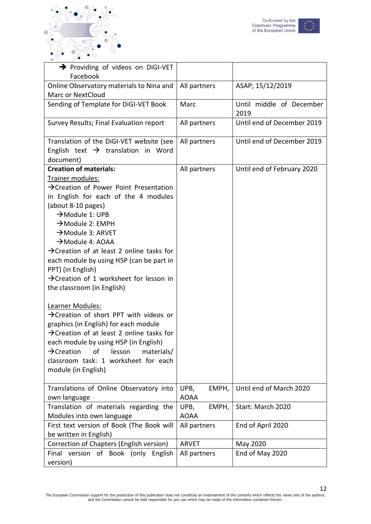



| > Providing of videos on DiGI-VET<br>Facebook                                                                                                                                                                                                                                                                                                                                                                                                                                                                                                                                                                                                                                                                                                                                                                                                                    |                              |                                  |
|------------------------------------------------------------------------------------------------------------------------------------------------------------------------------------------------------------------------------------------------------------------------------------------------------------------------------------------------------------------------------------------------------------------------------------------------------------------------------------------------------------------------------------------------------------------------------------------------------------------------------------------------------------------------------------------------------------------------------------------------------------------------------------------------------------------------------------------------------------------|------------------------------|----------------------------------|
| Online Observatory materials to Nina and<br><b>Marc or NextCloud</b>                                                                                                                                                                                                                                                                                                                                                                                                                                                                                                                                                                                                                                                                                                                                                                                             | All partners                 | ASAP; 15/12/2019                 |
| Sending of Template for DiGI-VET Book                                                                                                                                                                                                                                                                                                                                                                                                                                                                                                                                                                                                                                                                                                                                                                                                                            | Marc                         | Until middle of December<br>2019 |
| Survey Results; Final Evaluation report                                                                                                                                                                                                                                                                                                                                                                                                                                                                                                                                                                                                                                                                                                                                                                                                                          | All partners                 | Until end of December 2019       |
| Translation of the DiGI-VET website (see<br>English text $\rightarrow$ translation in Word<br>document)                                                                                                                                                                                                                                                                                                                                                                                                                                                                                                                                                                                                                                                                                                                                                          | All partners                 | Until end of December 2019       |
| <b>Creation of materials:</b><br>Trainer modules:<br>$\rightarrow$ Creation of Power Point Presentation<br>in English for each of the 4 modules<br>(about 8-10 pages)<br>$\rightarrow$ Module 1: UPB<br>$\rightarrow$ Module 2: EMPH<br>$\rightarrow$ Module 3: ARVET<br>$\rightarrow$ Module 4: AOAA<br>$\rightarrow$ Creation of at least 2 online tasks for<br>each module by using H5P (can be part in<br>PPT) (in English)<br>$\rightarrow$ Creation of 1 worksheet for lesson in<br>the classroom (in English)<br>Learner Modules:<br>$\rightarrow$ Creation of short PPT with videos or<br>graphics (in English) for each module<br>$\rightarrow$ Creation of at least 2 online tasks for<br>each module by using H5P (in English)<br>$\rightarrow$ Creation<br>lesson<br>materials/<br>οf<br>classroom task: 1 worksheet for each<br>module (in English) | All partners                 | Until end of February 2020       |
| Translations of Online Observatory into<br>own language                                                                                                                                                                                                                                                                                                                                                                                                                                                                                                                                                                                                                                                                                                                                                                                                          | UPB,<br>EMPH,<br><b>AOAA</b> | Until end of March 2020          |
| Translation of materials regarding the<br>Modules into own language                                                                                                                                                                                                                                                                                                                                                                                                                                                                                                                                                                                                                                                                                                                                                                                              | UPB,<br>EMPH,<br><b>AOAA</b> | Start: March 2020                |
| First text version of Book (The Book will<br>be written in English)                                                                                                                                                                                                                                                                                                                                                                                                                                                                                                                                                                                                                                                                                                                                                                                              | All partners                 | End of April 2020                |
| Correction of Chapters (English version)                                                                                                                                                                                                                                                                                                                                                                                                                                                                                                                                                                                                                                                                                                                                                                                                                         | <b>ARVET</b>                 | May 2020                         |
| Final version of Book (only English<br>version)                                                                                                                                                                                                                                                                                                                                                                                                                                                                                                                                                                                                                                                                                                                                                                                                                  | All partners                 | End of May 2020                  |